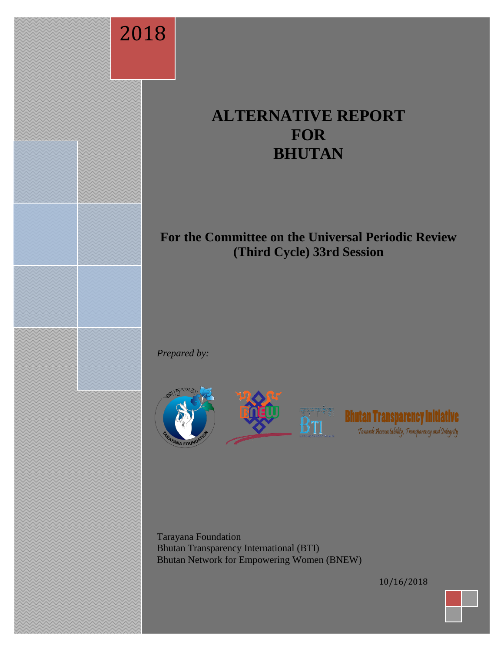

# **ALTERNATIVE REPORT FOR BHUTAN**

## **For the Committee on the Universal Periodic Review (Third Cycle) 33rd Session**

*Prepared by:* 







Tarayana Foundation Bhutan Transparency International (BTI) Bhutan Network for Empowering Women (BNEW)

10/16/2018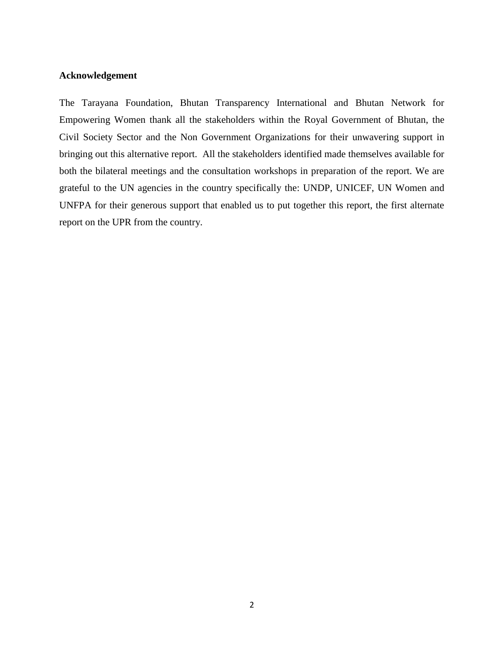#### <span id="page-1-0"></span>**Acknowledgement**

The Tarayana Foundation, Bhutan Transparency International and Bhutan Network for Empowering Women thank all the stakeholders within the Royal Government of Bhutan, the Civil Society Sector and the Non Government Organizations for their unwavering support in bringing out this alternative report. All the stakeholders identified made themselves available for both the bilateral meetings and the consultation workshops in preparation of the report. We are grateful to the UN agencies in the country specifically the: UNDP, UNICEF, UN Women and UNFPA for their generous support that enabled us to put together this report, the first alternate report on the UPR from the country.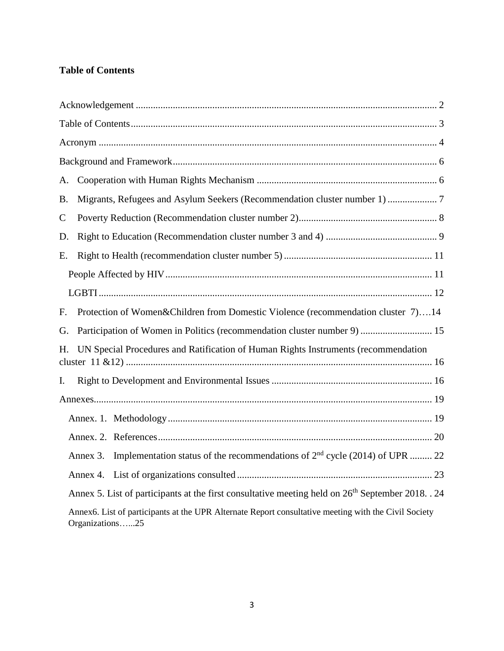## <span id="page-2-0"></span>**Table of Contents**

| A.           |                                                                                                                         |                                                                                                               |  |  |
|--------------|-------------------------------------------------------------------------------------------------------------------------|---------------------------------------------------------------------------------------------------------------|--|--|
| Β.           | Migrants, Refugees and Asylum Seekers (Recommendation cluster number 1) 7                                               |                                                                                                               |  |  |
| $\mathsf{C}$ |                                                                                                                         |                                                                                                               |  |  |
| D.           |                                                                                                                         |                                                                                                               |  |  |
| Е.           |                                                                                                                         |                                                                                                               |  |  |
|              |                                                                                                                         |                                                                                                               |  |  |
|              |                                                                                                                         |                                                                                                               |  |  |
| F.           |                                                                                                                         | Protection of Women&Children from Domestic Violence (recommendation cluster 7)14                              |  |  |
| G.           |                                                                                                                         | Participation of Women in Politics (recommendation cluster number 9)  15                                      |  |  |
| Н.           | UN Special Procedures and Ratification of Human Rights Instruments (recommendation                                      |                                                                                                               |  |  |
| Ι.           |                                                                                                                         |                                                                                                               |  |  |
|              |                                                                                                                         |                                                                                                               |  |  |
|              |                                                                                                                         |                                                                                                               |  |  |
|              |                                                                                                                         |                                                                                                               |  |  |
|              | Annex 3.                                                                                                                | Implementation status of the recommendations of 2 <sup>nd</sup> cycle (2014) of UPR  22                       |  |  |
|              |                                                                                                                         |                                                                                                               |  |  |
|              |                                                                                                                         | Annex 5. List of participants at the first consultative meeting held on 26 <sup>th</sup> September 2018. . 24 |  |  |
|              | Annex6. List of participants at the UPR Alternate Report consultative meeting with the Civil Society<br>Organizations25 |                                                                                                               |  |  |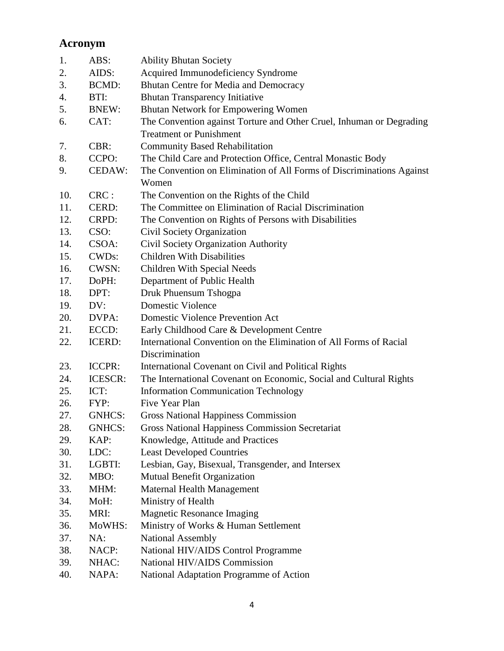## <span id="page-3-0"></span>**Acronym**

| 1.  | ABS:               | <b>Ability Bhutan Society</b>                                         |
|-----|--------------------|-----------------------------------------------------------------------|
| 2.  | AIDS:              | Acquired Immunodeficiency Syndrome                                    |
| 3.  | BCMD:              | Bhutan Centre for Media and Democracy                                 |
| 4.  | BTI:               | <b>Bhutan Transparency Initiative</b>                                 |
| 5.  | <b>BNEW:</b>       | Bhutan Network for Empowering Women                                   |
| 6.  | CAT:               | The Convention against Torture and Other Cruel, Inhuman or Degrading  |
|     |                    | <b>Treatment or Punishment</b>                                        |
| 7.  | CBR:               | <b>Community Based Rehabilitation</b>                                 |
| 8.  | CCPO:              | The Child Care and Protection Office, Central Monastic Body           |
| 9.  | CEDAW:             | The Convention on Elimination of All Forms of Discriminations Against |
|     |                    | Women                                                                 |
| 10. | CRC:               | The Convention on the Rights of the Child                             |
| 11. | CERD:              | The Committee on Elimination of Racial Discrimination                 |
| 12. | CRPD:              | The Convention on Rights of Persons with Disabilities                 |
| 13. | CSO:               | <b>Civil Society Organization</b>                                     |
| 14. | CSOA:              | Civil Society Organization Authority                                  |
| 15. | CWD <sub>s</sub> : | <b>Children With Disabilities</b>                                     |
| 16. | <b>CWSN:</b>       | Children With Special Needs                                           |
| 17. | DoPH:              | Department of Public Health                                           |
| 18. | DPT:               | Druk Phuensum Tshogpa                                                 |
| 19. | DV:                | <b>Domestic Violence</b>                                              |
| 20. | DVPA:              | <b>Domestic Violence Prevention Act</b>                               |
| 21. | ECCD:              | Early Childhood Care & Development Centre                             |
| 22. | <b>ICERD:</b>      | International Convention on the Elimination of All Forms of Racial    |
|     |                    | Discrimination                                                        |
| 23. | ICCPR:             | International Covenant on Civil and Political Rights                  |
| 24. | ICESCR:            | The International Covenant on Economic, Social and Cultural Rights    |
| 25. | ICT:               | <b>Information Communication Technology</b>                           |
| 26. | FYP:               | Five Year Plan                                                        |
| 27. | GNHCS:             | <b>Gross National Happiness Commission</b>                            |
| 28. | GNHCS:             | <b>Gross National Happiness Commission Secretariat</b>                |
| 29. | KAP:               | Knowledge, Attitude and Practices                                     |
| 30. | LDC:               | <b>Least Developed Countries</b>                                      |
| 31. | LGBTI:             | Lesbian, Gay, Bisexual, Transgender, and Intersex                     |
| 32. | MBO:               | Mutual Benefit Organization                                           |
| 33. | MHM:               | <b>Maternal Health Management</b>                                     |
| 34. | MoH:               | Ministry of Health                                                    |
| 35. | MRI:               | <b>Magnetic Resonance Imaging</b>                                     |
| 36. | MoWHS:             | Ministry of Works & Human Settlement                                  |
| 37. | NA:                | <b>National Assembly</b>                                              |
| 38. | NACP:              | National HIV/AIDS Control Programme                                   |
| 39. | NHAC:              | National HIV/AIDS Commission                                          |
| 40. | NAPA:              | National Adaptation Programme of Action                               |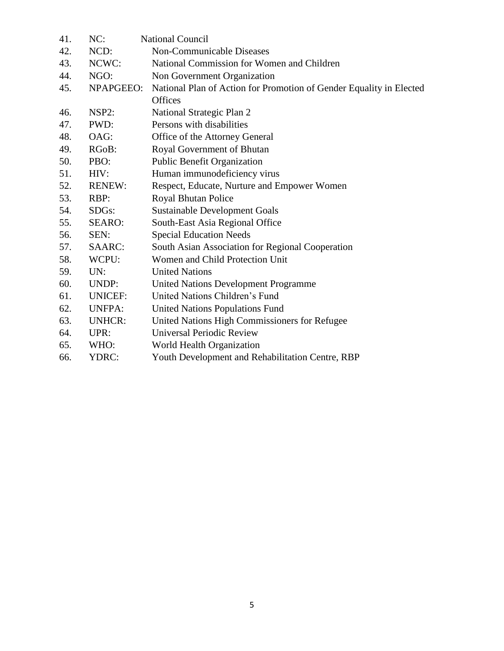| 41. | NC:                | <b>National Council</b>                                             |
|-----|--------------------|---------------------------------------------------------------------|
| 42. | NCD:               | Non-Communicable Diseases                                           |
| 43. | NCWC:              | National Commission for Women and Children                          |
| 44. | NGO:               | Non Government Organization                                         |
| 45. | NPAPGEEO:          | National Plan of Action for Promotion of Gender Equality in Elected |
|     |                    | <b>Offices</b>                                                      |
| 46. | NSP2:              | National Strategic Plan 2                                           |
| 47. | PWD:               | Persons with disabilities                                           |
| 48. | OAG:               | Office of the Attorney General                                      |
| 49. | RG <sub>o</sub> B: | Royal Government of Bhutan                                          |
| 50. | PBO:               | <b>Public Benefit Organization</b>                                  |
| 51. | HIV:               | Human immunodeficiency virus                                        |
| 52. | <b>RENEW:</b>      | Respect, Educate, Nurture and Empower Women                         |
| 53. | RBP:               | Royal Bhutan Police                                                 |
| 54. | SDG <sub>s</sub> : | <b>Sustainable Development Goals</b>                                |
| 55. | <b>SEARO:</b>      | South-East Asia Regional Office                                     |
| 56. | SEN:               | <b>Special Education Needs</b>                                      |
| 57. | SAARC:             | South Asian Association for Regional Cooperation                    |
| 58. | WCPU:              | Women and Child Protection Unit                                     |
| 59. | UN:                | <b>United Nations</b>                                               |
| 60. | UNDP:              | <b>United Nations Development Programme</b>                         |
| 61. | <b>UNICEF:</b>     | United Nations Children's Fund                                      |
| 62. | <b>UNFPA:</b>      | United Nations Populations Fund                                     |
| 63. | <b>UNHCR:</b>      | United Nations High Commissioners for Refugee                       |
| 64. | UPR:               | <b>Universal Periodic Review</b>                                    |
| 65. | WHO:               | World Health Organization                                           |
| 66. | YDRC:              | Youth Development and Rehabilitation Centre, RBP                    |
|     |                    |                                                                     |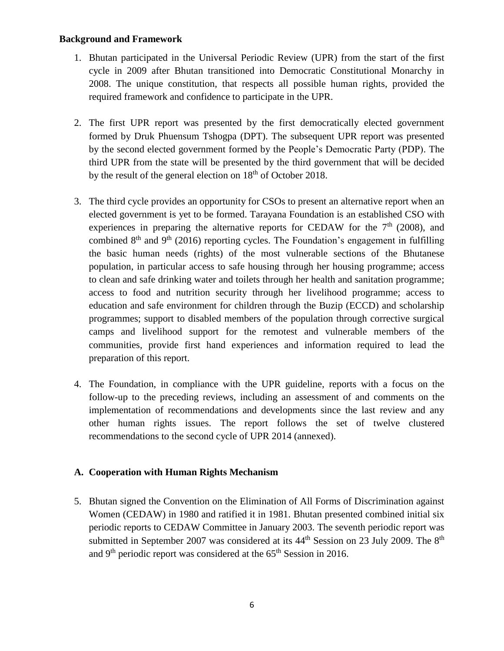#### <span id="page-5-0"></span>**Background and Framework**

- 1. Bhutan participated in the Universal Periodic Review (UPR) from the start of the first cycle in 2009 after Bhutan transitioned into Democratic Constitutional Monarchy in 2008. The unique constitution, that respects all possible human rights, provided the required framework and confidence to participate in the UPR.
- 2. The first UPR report was presented by the first democratically elected government formed by Druk Phuensum Tshogpa (DPT). The subsequent UPR report was presented by the second elected government formed by the People's Democratic Party (PDP). The third UPR from the state will be presented by the third government that will be decided by the result of the general election on  $18<sup>th</sup>$  of October 2018.
- 3. The third cycle provides an opportunity for CSOs to present an alternative report when an elected government is yet to be formed. Tarayana Foundation is an established CSO with experiences in preparing the alternative reports for CEDAW for the  $7<sup>th</sup>$  (2008), and combined  $8<sup>th</sup>$  and  $9<sup>th</sup>$  (2016) reporting cycles. The Foundation's engagement in fulfilling the basic human needs (rights) of the most vulnerable sections of the Bhutanese population, in particular access to safe housing through her housing programme; access to clean and safe drinking water and toilets through her health and sanitation programme; access to food and nutrition security through her livelihood programme; access to education and safe environment for children through the Buzip (ECCD) and scholarship programmes; support to disabled members of the population through corrective surgical camps and livelihood support for the remotest and vulnerable members of the communities, provide first hand experiences and information required to lead the preparation of this report.
- 4. The Foundation, in compliance with the UPR guideline, reports with a focus on the follow-up to the preceding reviews, including an assessment of and comments on the implementation of recommendations and developments since the last review and any other human rights issues. The report follows the set of twelve clustered recommendations to the second cycle of UPR 2014 (annexed).

## <span id="page-5-1"></span>**A. Cooperation with Human Rights Mechanism**

5. Bhutan signed the Convention on the Elimination of All Forms of Discrimination against Women (CEDAW) in 1980 and ratified it in 1981. Bhutan presented combined initial six periodic reports to CEDAW Committee in January 2003. The seventh periodic report was submitted in September 2007 was considered at its  $44<sup>th</sup>$  Session on 23 July 2009. The  $8<sup>th</sup>$ and  $9<sup>th</sup>$  periodic report was considered at the 65<sup>th</sup> Session in 2016.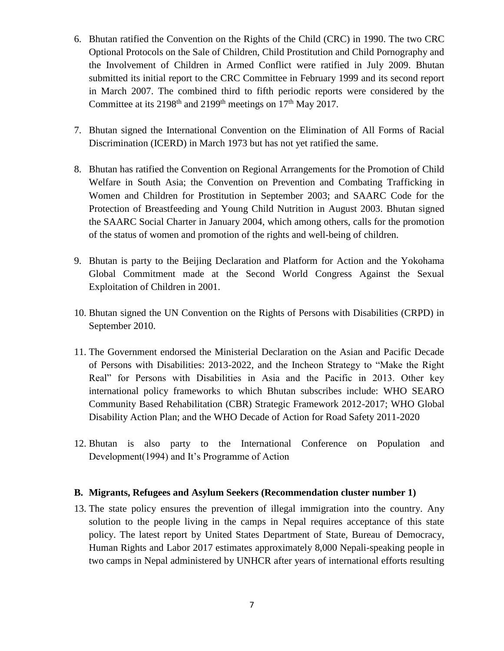- 6. Bhutan ratified the Convention on the Rights of the Child (CRC) in 1990. The two CRC Optional Protocols on the Sale of Children, Child Prostitution and Child Pornography and the Involvement of Children in Armed Conflict were ratified in July 2009. Bhutan submitted its initial report to the CRC Committee in February 1999 and its second report in March 2007. The combined third to fifth periodic reports were considered by the Committee at its  $2198<sup>th</sup>$  and  $2199<sup>th</sup>$  meetings on  $17<sup>th</sup>$  May 2017.
- 7. Bhutan signed the International Convention on the Elimination of All Forms of Racial Discrimination (ICERD) in March 1973 but has not yet ratified the same.
- 8. Bhutan has ratified the Convention on Regional Arrangements for the Promotion of Child Welfare in South Asia; the Convention on Prevention and Combating Trafficking in Women and Children for Prostitution in September 2003; and SAARC Code for the Protection of Breastfeeding and Young Child Nutrition in August 2003. Bhutan signed the SAARC Social Charter in January 2004, which among others, calls for the promotion of the status of women and promotion of the rights and well-being of children.
- 9. Bhutan is party to the Beijing Declaration and Platform for Action and the Yokohama Global Commitment made at the Second World Congress Against the Sexual Exploitation of Children in 2001.
- 10. Bhutan signed the UN Convention on the Rights of Persons with Disabilities (CRPD) in September 2010.
- 11. The Government endorsed the Ministerial Declaration on the Asian and Pacific Decade of Persons with Disabilities: 2013-2022, and the Incheon Strategy to "Make the Right Real" for Persons with Disabilities in Asia and the Pacific in 2013. Other key international policy frameworks to which Bhutan subscribes include: WHO SEARO Community Based Rehabilitation (CBR) Strategic Framework 2012-2017; WHO Global Disability Action Plan; and the WHO Decade of Action for Road Safety 2011-2020
- 12. Bhutan is also party to the International Conference on Population and Development(1994) and It's Programme of Action

#### <span id="page-6-0"></span>**B. Migrants, Refugees and Asylum Seekers (Recommendation cluster number 1)**

13. The state policy ensures the prevention of illegal immigration into the country. Any solution to the people living in the camps in Nepal requires acceptance of this state policy. The latest report by United States Department of State, Bureau of Democracy, Human Rights and Labor 2017 estimates approximately 8,000 Nepali-speaking people in two camps in Nepal administered by UNHCR after years of international efforts resulting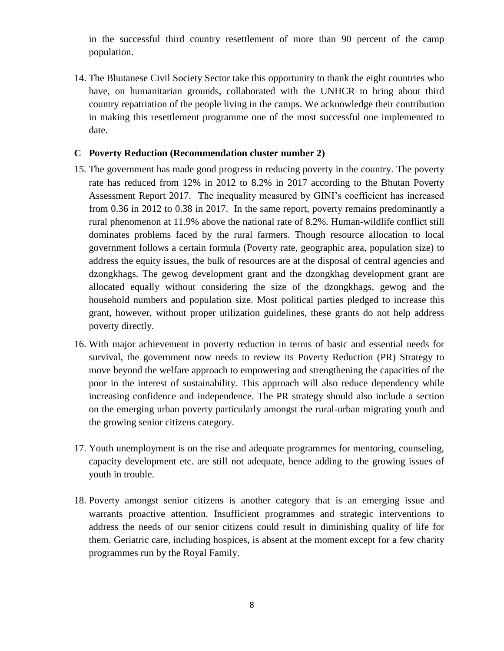in the successful third country resettlement of more than 90 percent of the camp population.

14. The Bhutanese Civil Society Sector take this opportunity to thank the eight countries who have, on humanitarian grounds, collaborated with the UNHCR to bring about third country repatriation of the people living in the camps. We acknowledge their contribution in making this resettlement programme one of the most successful one implemented to date.

### <span id="page-7-0"></span>**C Poverty Reduction (Recommendation cluster number 2)**

- 15. The government has made good progress in reducing poverty in the country. The poverty rate has reduced from 12% in 2012 to 8.2% in 2017 according to the Bhutan Poverty Assessment Report 2017. The inequality measured by GINI's coefficient has increased from 0.36 in 2012 to 0.38 in 2017. In the same report, poverty remains predominantly a rural phenomenon at 11.9% above the national rate of 8.2%. Human-wildlife conflict still dominates problems faced by the rural farmers. Though resource allocation to local government follows a certain formula (Poverty rate, geographic area, population size) to address the equity issues, the bulk of resources are at the disposal of central agencies and dzongkhags. The gewog development grant and the dzongkhag development grant are allocated equally without considering the size of the dzongkhags, gewog and the household numbers and population size. Most political parties pledged to increase this grant, however, without proper utilization guidelines, these grants do not help address poverty directly.
- 16. With major achievement in poverty reduction in terms of basic and essential needs for survival, the government now needs to review its Poverty Reduction (PR) Strategy to move beyond the welfare approach to empowering and strengthening the capacities of the poor in the interest of sustainability. This approach will also reduce dependency while increasing confidence and independence. The PR strategy should also include a section on the emerging urban poverty particularly amongst the rural-urban migrating youth and the growing senior citizens category.
- 17. Youth unemployment is on the rise and adequate programmes for mentoring, counseling, capacity development etc. are still not adequate, hence adding to the growing issues of youth in trouble.
- 18. Poverty amongst senior citizens is another category that is an emerging issue and warrants proactive attention. Insufficient programmes and strategic interventions to address the needs of our senior citizens could result in diminishing quality of life for them. Geriatric care, including hospices, is absent at the moment except for a few charity programmes run by the Royal Family.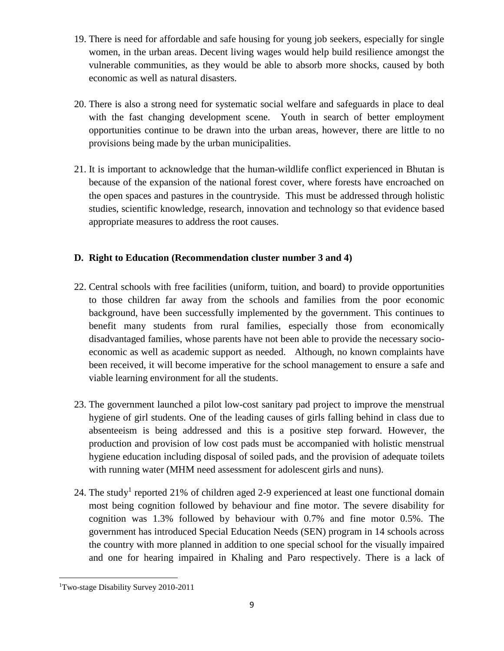- 19. There is need for affordable and safe housing for young job seekers, especially for single women, in the urban areas. Decent living wages would help build resilience amongst the vulnerable communities, as they would be able to absorb more shocks, caused by both economic as well as natural disasters.
- 20. There is also a strong need for systematic social welfare and safeguards in place to deal with the fast changing development scene. Youth in search of better employment opportunities continue to be drawn into the urban areas, however, there are little to no provisions being made by the urban municipalities.
- 21. It is important to acknowledge that the human-wildlife conflict experienced in Bhutan is because of the expansion of the national forest cover, where forests have encroached on the open spaces and pastures in the countryside. This must be addressed through holistic studies, scientific knowledge, research, innovation and technology so that evidence based appropriate measures to address the root causes.

## <span id="page-8-0"></span>**D. Right to Education (Recommendation cluster number 3 and 4)**

- 22. Central schools with free facilities (uniform, tuition, and board) to provide opportunities to those children far away from the schools and families from the poor economic background, have been successfully implemented by the government. This continues to benefit many students from rural families, especially those from economically disadvantaged families, whose parents have not been able to provide the necessary socioeconomic as well as academic support as needed. Although, no known complaints have been received, it will become imperative for the school management to ensure a safe and viable learning environment for all the students.
- 23. The government launched a pilot low-cost sanitary pad project to improve the menstrual hygiene of girl students. One of the leading causes of girls falling behind in class due to absenteeism is being addressed and this is a positive step forward. However, the production and provision of low cost pads must be accompanied with holistic menstrual hygiene education including disposal of soiled pads, and the provision of adequate toilets with running water (MHM need assessment for adolescent girls and nuns).
- 24. The study<sup>1</sup> reported 21% of children aged 2-9 experienced at least one functional domain most being cognition followed by behaviour and fine motor. The severe disability for cognition was 1.3% followed by behaviour with 0.7% and fine motor 0.5%. The government has introduced Special Education Needs (SEN) program in 14 schools across the country with more planned in addition to one special school for the visually impaired and one for hearing impaired in Khaling and Paro respectively. There is a lack of

 $\overline{\phantom{a}}$ 1Two-stage Disability Survey 2010-2011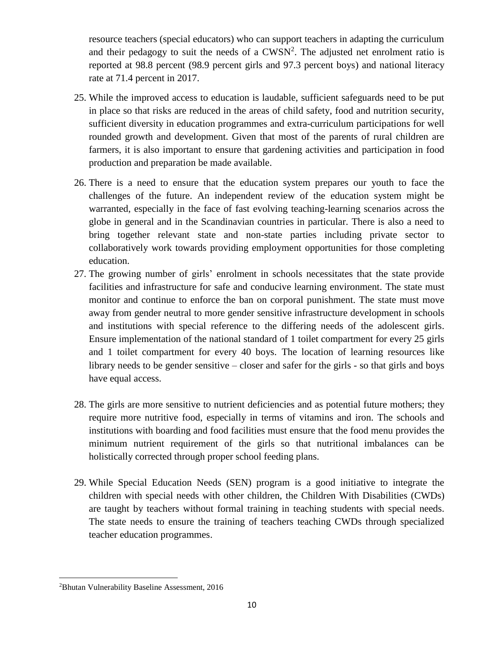resource teachers (special educators) who can support teachers in adapting the curriculum and their pedagogy to suit the needs of a  $CWSN<sup>2</sup>$ . The adjusted net enrolment ratio is reported at 98.8 percent (98.9 percent girls and 97.3 percent boys) and national literacy rate at 71.4 percent in 2017.

- 25. While the improved access to education is laudable, sufficient safeguards need to be put in place so that risks are reduced in the areas of child safety, food and nutrition security, sufficient diversity in education programmes and extra-curriculum participations for well rounded growth and development. Given that most of the parents of rural children are farmers, it is also important to ensure that gardening activities and participation in food production and preparation be made available.
- 26. There is a need to ensure that the education system prepares our youth to face the challenges of the future. An independent review of the education system might be warranted, especially in the face of fast evolving teaching-learning scenarios across the globe in general and in the Scandinavian countries in particular. There is also a need to bring together relevant state and non-state parties including private sector to collaboratively work towards providing employment opportunities for those completing education.
- 27. The growing number of girls' enrolment in schools necessitates that the state provide facilities and infrastructure for safe and conducive learning environment. The state must monitor and continue to enforce the ban on corporal punishment. The state must move away from gender neutral to more gender sensitive infrastructure development in schools and institutions with special reference to the differing needs of the adolescent girls. Ensure implementation of the national standard of 1 toilet compartment for every 25 girls and 1 toilet compartment for every 40 boys. The location of learning resources like library needs to be gender sensitive – closer and safer for the girls - so that girls and boys have equal access.
- 28. The girls are more sensitive to nutrient deficiencies and as potential future mothers; they require more nutritive food, especially in terms of vitamins and iron. The schools and institutions with boarding and food facilities must ensure that the food menu provides the minimum nutrient requirement of the girls so that nutritional imbalances can be holistically corrected through proper school feeding plans.
- 29. While Special Education Needs (SEN) program is a good initiative to integrate the children with special needs with other children, the Children With Disabilities (CWDs) are taught by teachers without formal training in teaching students with special needs. The state needs to ensure the training of teachers teaching CWDs through specialized teacher education programmes.

 $\overline{\phantom{a}}$ 

<sup>2</sup>Bhutan Vulnerability Baseline Assessment, 2016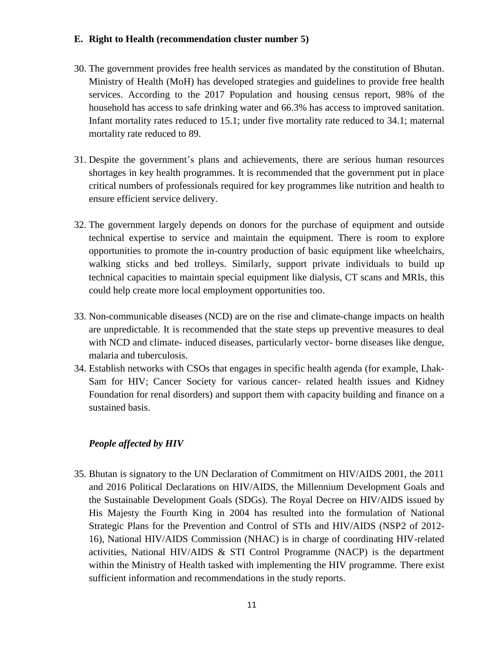### <span id="page-10-0"></span>**E. Right to Health (recommendation cluster number 5)**

- 30. The government provides free health services as mandated by the constitution of Bhutan. Ministry of Health (MoH) has developed strategies and guidelines to provide free health services. According to the 2017 Population and housing census report, 98% of the household has access to safe drinking water and 66.3% has access to improved sanitation. Infant mortality rates reduced to 15.1; under five mortality rate reduced to 34.1; maternal mortality rate reduced to 89.
- 31. Despite the government's plans and achievements, there are serious human resources shortages in key health programmes. It is recommended that the government put in place critical numbers of professionals required for key programmes like nutrition and health to ensure efficient service delivery.
- 32. The government largely depends on donors for the purchase of equipment and outside technical expertise to service and maintain the equipment. There is room to explore opportunities to promote the in-country production of basic equipment like wheelchairs, walking sticks and bed trolleys. Similarly, support private individuals to build up technical capacities to maintain special equipment like dialysis, CT scans and MRIs, this could help create more local employment opportunities too.
- 33. Non-communicable diseases (NCD) are on the rise and climate-change impacts on health are unpredictable. It is recommended that the state steps up preventive measures to deal with NCD and climate- induced diseases, particularly vector- borne diseases like dengue, malaria and tuberculosis.
- 34. Establish networks with CSOs that engages in specific health agenda (for example, Lhak-Sam for HIV; Cancer Society for various cancer- related health issues and Kidney Foundation for renal disorders) and support them with capacity building and finance on a sustained basis.

## <span id="page-10-1"></span>*People affected by HIV*

35. Bhutan is signatory to the UN Declaration of Commitment on HIV/AIDS 2001, the 2011 and 2016 Political Declarations on HIV/AIDS, the Millennium Development Goals and the Sustainable Development Goals (SDGs). The Royal Decree on HIV/AIDS issued by His Majesty the Fourth King in 2004 has resulted into the formulation of National Strategic Plans for the Prevention and Control of STIs and HIV/AIDS (NSP2 of 2012- 16), National HIV/AIDS Commission (NHAC) is in charge of coordinating HIV-related activities, National HIV/AIDS & STI Control Programme (NACP) is the department within the Ministry of Health tasked with implementing the HIV programme. There exist sufficient information and recommendations in the study reports.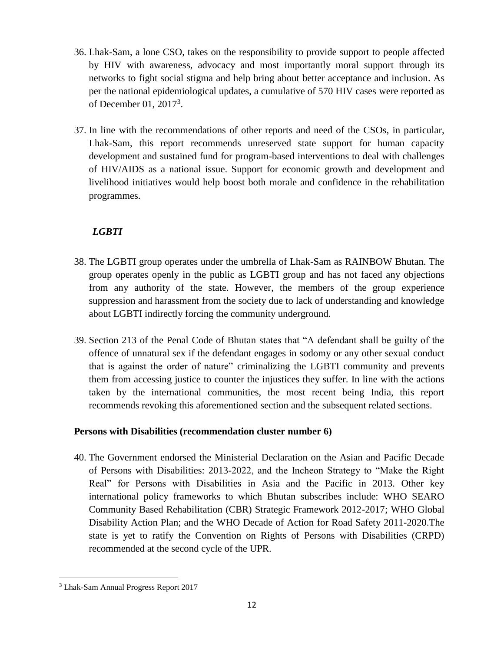- 36. Lhak-Sam, a lone CSO, takes on the responsibility to provide support to people affected by HIV with awareness, advocacy and most importantly moral support through its networks to fight social stigma and help bring about better acceptance and inclusion. As per the national epidemiological updates, a cumulative of 570 HIV cases were reported as of December 01, 2017<sup>3</sup>.
- 37. In line with the recommendations of other reports and need of the CSOs, in particular, Lhak-Sam, this report recommends unreserved state support for human capacity development and sustained fund for program-based interventions to deal with challenges of HIV/AIDS as a national issue. Support for economic growth and development and livelihood initiatives would help boost both morale and confidence in the rehabilitation programmes.

## *LGBTI*

- <span id="page-11-0"></span>38. The LGBTI group operates under the umbrella of Lhak-Sam as RAINBOW Bhutan. The group operates openly in the public as LGBTI group and has not faced any objections from any authority of the state. However, the members of the group experience suppression and harassment from the society due to lack of understanding and knowledge about LGBTI indirectly forcing the community underground.
- 39. Section 213 of the Penal Code of Bhutan states that "A defendant shall be guilty of the offence of unnatural sex if the defendant engages in sodomy or any other sexual conduct that is against the order of nature" criminalizing the LGBTI community and prevents them from accessing justice to counter the injustices they suffer. In line with the actions taken by the international communities, the most recent being India, this report recommends revoking this aforementioned section and the subsequent related sections.

## **Persons with Disabilities (recommendation cluster number 6)**

40. The Government endorsed the Ministerial Declaration on the Asian and Pacific Decade of Persons with Disabilities: 2013-2022, and the Incheon Strategy to "Make the Right Real" for Persons with Disabilities in Asia and the Pacific in 2013. Other key international policy frameworks to which Bhutan subscribes include: WHO SEARO Community Based Rehabilitation (CBR) Strategic Framework 2012-2017; WHO Global Disability Action Plan; and the WHO Decade of Action for Road Safety 2011-2020.The state is yet to ratify the Convention on Rights of Persons with Disabilities (CRPD) recommended at the second cycle of the UPR.

 $\overline{\phantom{a}}$ <sup>3</sup> Lhak-Sam Annual Progress Report 2017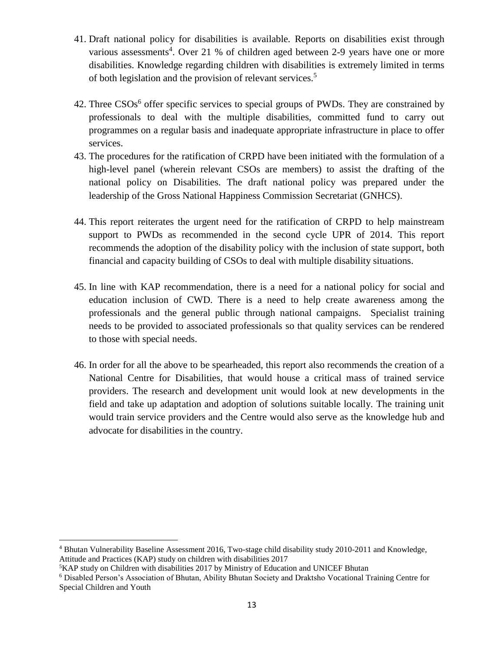- 41. Draft national policy for disabilities is available. Reports on disabilities exist through various assessments<sup>4</sup>. Over 21 % of children aged between 2-9 years have one or more disabilities. Knowledge regarding children with disabilities is extremely limited in terms of both legislation and the provision of relevant services.<sup>5</sup>
- 42. Three CSOs<sup>6</sup> offer specific services to special groups of PWDs. They are constrained by professionals to deal with the multiple disabilities, committed fund to carry out programmes on a regular basis and inadequate appropriate infrastructure in place to offer services.
- 43. The procedures for the ratification of CRPD have been initiated with the formulation of a high-level panel (wherein relevant CSOs are members) to assist the drafting of the national policy on Disabilities. The draft national policy was prepared under the leadership of the Gross National Happiness Commission Secretariat (GNHCS).
- 44. This report reiterates the urgent need for the ratification of CRPD to help mainstream support to PWDs as recommended in the second cycle UPR of 2014. This report recommends the adoption of the disability policy with the inclusion of state support, both financial and capacity building of CSOs to deal with multiple disability situations.
- 45. In line with KAP recommendation, there is a need for a national policy for social and education inclusion of CWD. There is a need to help create awareness among the professionals and the general public through national campaigns. Specialist training needs to be provided to associated professionals so that quality services can be rendered to those with special needs.
- 46. In order for all the above to be spearheaded, this report also recommends the creation of a National Centre for Disabilities, that would house a critical mass of trained service providers. The research and development unit would look at new developments in the field and take up adaptation and adoption of solutions suitable locally. The training unit would train service providers and the Centre would also serve as the knowledge hub and advocate for disabilities in the country.

l

<sup>4</sup> Bhutan Vulnerability Baseline Assessment 2016, Two-stage child disability study 2010-2011 and Knowledge, Attitude and Practices (KAP) study on children with disabilities 2017

<sup>&</sup>lt;sup>5</sup>KAP study on Children with disabilities 2017 by Ministry of Education and UNICEF Bhutan

<sup>6</sup> Disabled Person's Association of Bhutan, Ability Bhutan Society and Draktsho Vocational Training Centre for Special Children and Youth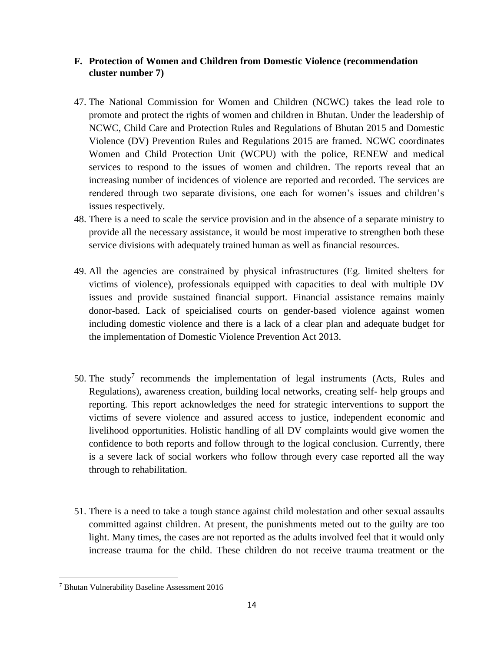## <span id="page-13-0"></span>**F. Protection of Women and Children from Domestic Violence (recommendation cluster number 7)**

- 47. The National Commission for Women and Children (NCWC) takes the lead role to promote and protect the rights of women and children in Bhutan. Under the leadership of NCWC, Child Care and Protection Rules and Regulations of Bhutan 2015 and Domestic Violence (DV) Prevention Rules and Regulations 2015 are framed. NCWC coordinates Women and Child Protection Unit (WCPU) with the police, RENEW and medical services to respond to the issues of women and children. The reports reveal that an increasing number of incidences of violence are reported and recorded. The services are rendered through two separate divisions, one each for women's issues and children's issues respectively.
- 48. There is a need to scale the service provision and in the absence of a separate ministry to provide all the necessary assistance, it would be most imperative to strengthen both these service divisions with adequately trained human as well as financial resources.
- 49. All the agencies are constrained by physical infrastructures (Eg. limited shelters for victims of violence), professionals equipped with capacities to deal with multiple DV issues and provide sustained financial support. Financial assistance remains mainly donor-based. Lack of speicialised courts on gender-based violence against women including domestic violence and there is a lack of a clear plan and adequate budget for the implementation of Domestic Violence Prevention Act 2013.
- 50. The study<sup>7</sup> recommends the implementation of legal instruments (Acts, Rules and Regulations), awareness creation, building local networks, creating self- help groups and reporting. This report acknowledges the need for strategic interventions to support the victims of severe violence and assured access to justice, independent economic and livelihood opportunities. Holistic handling of all DV complaints would give women the confidence to both reports and follow through to the logical conclusion. Currently, there is a severe lack of social workers who follow through every case reported all the way through to rehabilitation.
- 51. There is a need to take a tough stance against child molestation and other sexual assaults committed against children. At present, the punishments meted out to the guilty are too light. Many times, the cases are not reported as the adults involved feel that it would only increase trauma for the child. These children do not receive trauma treatment or the

 $\overline{\phantom{a}}$ 

<sup>7</sup> Bhutan Vulnerability Baseline Assessment 2016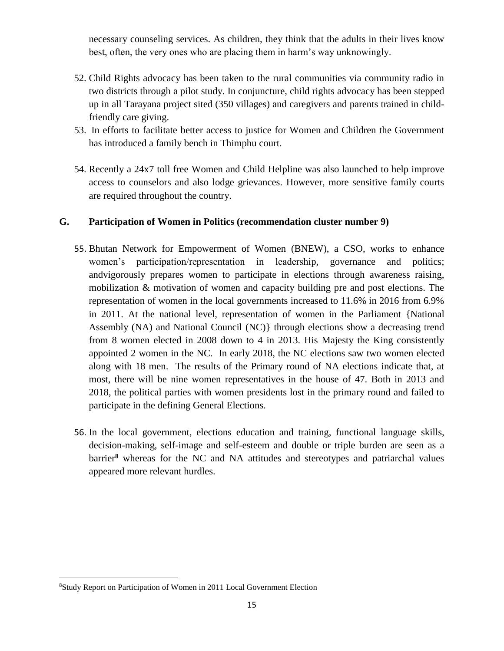necessary counseling services. As children, they think that the adults in their lives know best, often, the very ones who are placing them in harm's way unknowingly.

- 52. Child Rights advocacy has been taken to the rural communities via community radio in two districts through a pilot study. In conjuncture, child rights advocacy has been stepped up in all Tarayana project sited (350 villages) and caregivers and parents trained in childfriendly care giving.
- 53. In efforts to facilitate better access to justice for Women and Children the Government has introduced a family bench in Thimphu court.
- <span id="page-14-0"></span>54. Recently a 24x7 toll free Women and Child Helpline was also launched to help improve access to counselors and also lodge grievances. However, more sensitive family courts are required throughout the country.

## **G. Participation of Women in Politics (recommendation cluster number 9)**

- 55. Bhutan Network for Empowerment of Women (BNEW), a CSO, works to enhance women's participation/representation in leadership, governance and politics; andvigorously prepares women to participate in elections through awareness raising, mobilization & motivation of women and capacity building pre and post elections. The representation of women in the local governments increased to 11.6% in 2016 from 6.9% in 2011. At the national level, representation of women in the Parliament {National Assembly (NA) and National Council (NC)} through elections show a decreasing trend from 8 women elected in 2008 down to 4 in 2013. His Majesty the King consistently appointed 2 women in the NC. In early 2018, the NC elections saw two women elected along with 18 men. The results of the Primary round of NA elections indicate that, at most, there will be nine women representatives in the house of 47. Both in 2013 and 2018, the political parties with women presidents lost in the primary round and failed to participate in the defining General Elections.
- 56. In the local government, elections education and training, functional language skills, decision-making, self-image and self-esteem and double or triple burden are seen as a barrier**<sup>8</sup>** whereas for the NC and NA attitudes and stereotypes and patriarchal values appeared more relevant hurdles.

 $\overline{\phantom{a}}$ 

<sup>8</sup>Study Report on Participation of Women in 2011 Local Government Election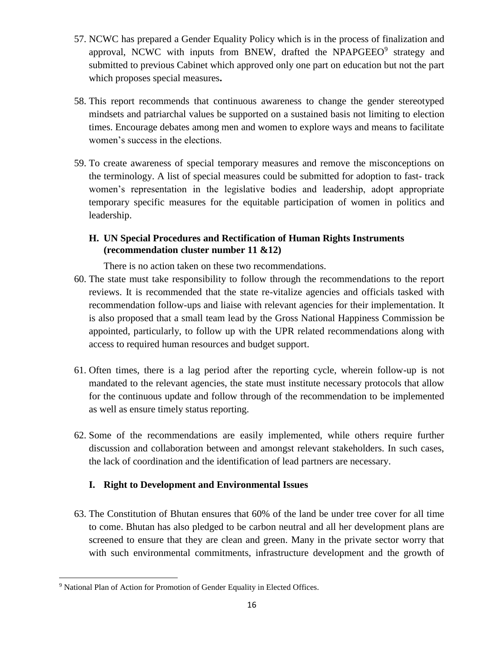- 57. NCWC has prepared a Gender Equality Policy which is in the process of finalization and approval, NCWC with inputs from BNEW, drafted the NPAPGEEO $^9$  strategy and submitted to previous Cabinet which approved only one part on education but not the part which proposes special measures**.**
- 58. This report recommends that continuous awareness to change the gender stereotyped mindsets and patriarchal values be supported on a sustained basis not limiting to election times. Encourage debates among men and women to explore ways and means to facilitate women's success in the elections.
- 59. To create awareness of special temporary measures and remove the misconceptions on the terminology. A list of special measures could be submitted for adoption to fast- track women's representation in the legislative bodies and leadership, adopt appropriate temporary specific measures for the equitable participation of women in politics and leadership.

## <span id="page-15-0"></span>**H. UN Special Procedures and Rectification of Human Rights Instruments (recommendation cluster number 11 &12)**

There is no action taken on these two recommendations.

- 60. The state must take responsibility to follow through the recommendations to the report reviews. It is recommended that the state re-vitalize agencies and officials tasked with recommendation follow-ups and liaise with relevant agencies for their implementation. It is also proposed that a small team lead by the Gross National Happiness Commission be appointed, particularly, to follow up with the UPR related recommendations along with access to required human resources and budget support.
- 61. Often times, there is a lag period after the reporting cycle, wherein follow-up is not mandated to the relevant agencies, the state must institute necessary protocols that allow for the continuous update and follow through of the recommendation to be implemented as well as ensure timely status reporting.
- 62. Some of the recommendations are easily implemented, while others require further discussion and collaboration between and amongst relevant stakeholders. In such cases, the lack of coordination and the identification of lead partners are necessary.

## <span id="page-15-1"></span>**I. Right to Development and Environmental Issues**

63. The Constitution of Bhutan ensures that 60% of the land be under tree cover for all time to come. Bhutan has also pledged to be carbon neutral and all her development plans are screened to ensure that they are clean and green. Many in the private sector worry that with such environmental commitments, infrastructure development and the growth of

 $\overline{\phantom{a}}$ <sup>9</sup> National Plan of Action for Promotion of Gender Equality in Elected Offices.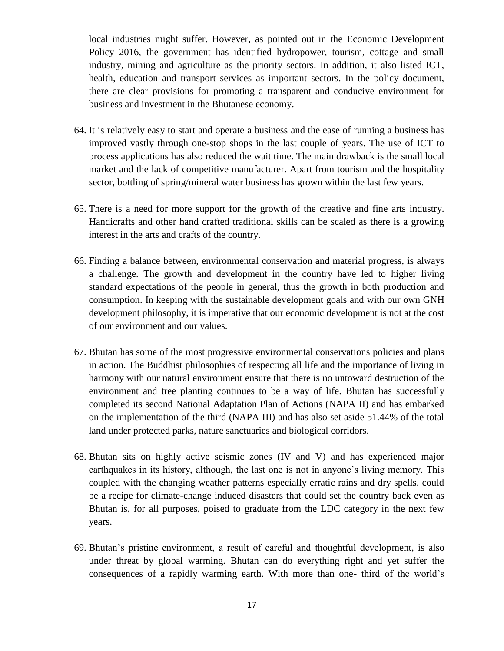local industries might suffer. However, as pointed out in the Economic Development Policy 2016, the government has identified hydropower, tourism, cottage and small industry, mining and agriculture as the priority sectors. In addition, it also listed ICT, health, education and transport services as important sectors. In the policy document, there are clear provisions for promoting a transparent and conducive environment for business and investment in the Bhutanese economy.

- 64. It is relatively easy to start and operate a business and the ease of running a business has improved vastly through one-stop shops in the last couple of years. The use of ICT to process applications has also reduced the wait time. The main drawback is the small local market and the lack of competitive manufacturer. Apart from tourism and the hospitality sector, bottling of spring/mineral water business has grown within the last few years.
- 65. There is a need for more support for the growth of the creative and fine arts industry. Handicrafts and other hand crafted traditional skills can be scaled as there is a growing interest in the arts and crafts of the country.
- 66. Finding a balance between, environmental conservation and material progress, is always a challenge. The growth and development in the country have led to higher living standard expectations of the people in general, thus the growth in both production and consumption. In keeping with the sustainable development goals and with our own GNH development philosophy, it is imperative that our economic development is not at the cost of our environment and our values.
- 67. Bhutan has some of the most progressive environmental conservations policies and plans in action. The Buddhist philosophies of respecting all life and the importance of living in harmony with our natural environment ensure that there is no untoward destruction of the environment and tree planting continues to be a way of life. Bhutan has successfully completed its second National Adaptation Plan of Actions (NAPA II) and has embarked on the implementation of the third (NAPA III) and has also set aside 51.44% of the total land under protected parks, nature sanctuaries and biological corridors.
- 68. Bhutan sits on highly active seismic zones (IV and V) and has experienced major earthquakes in its history, although, the last one is not in anyone's living memory. This coupled with the changing weather patterns especially erratic rains and dry spells, could be a recipe for climate-change induced disasters that could set the country back even as Bhutan is, for all purposes, poised to graduate from the LDC category in the next few years.
- 69. Bhutan's pristine environment, a result of careful and thoughtful development, is also under threat by global warming. Bhutan can do everything right and yet suffer the consequences of a rapidly warming earth. With more than one- third of the world's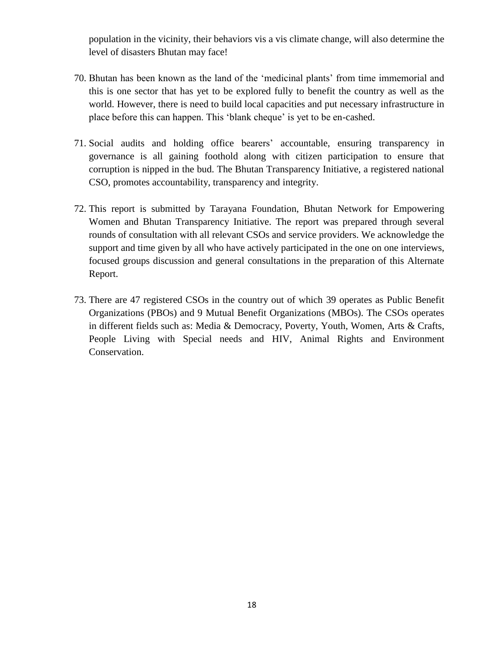population in the vicinity, their behaviors vis a vis climate change, will also determine the level of disasters Bhutan may face!

- 70. Bhutan has been known as the land of the 'medicinal plants' from time immemorial and this is one sector that has yet to be explored fully to benefit the country as well as the world. However, there is need to build local capacities and put necessary infrastructure in place before this can happen. This 'blank cheque' is yet to be en-cashed.
- 71. Social audits and holding office bearers' accountable, ensuring transparency in governance is all gaining foothold along with citizen participation to ensure that corruption is nipped in the bud. The Bhutan Transparency Initiative, a registered national CSO, promotes accountability, transparency and integrity.
- 72. This report is submitted by Tarayana Foundation, Bhutan Network for Empowering Women and Bhutan Transparency Initiative. The report was prepared through several rounds of consultation with all relevant CSOs and service providers. We acknowledge the support and time given by all who have actively participated in the one on one interviews, focused groups discussion and general consultations in the preparation of this Alternate Report.
- 73. There are 47 registered CSOs in the country out of which 39 operates as Public Benefit Organizations (PBOs) and 9 Mutual Benefit Organizations (MBOs). The CSOs operates in different fields such as: Media & Democracy, Poverty, Youth, Women, Arts & Crafts, People Living with Special needs and HIV, Animal Rights and Environment Conservation.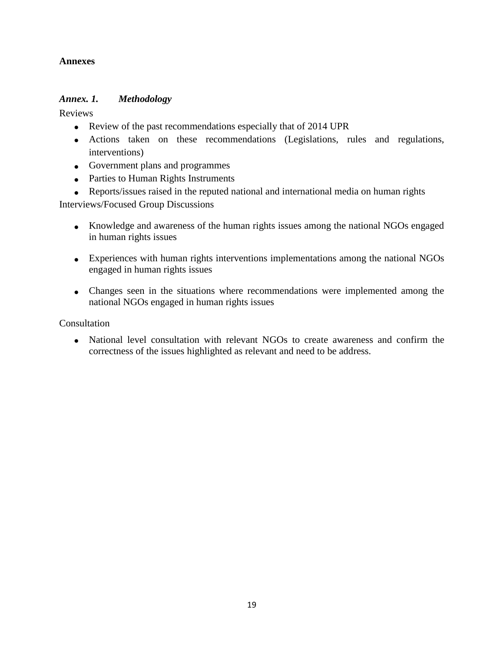## <span id="page-18-0"></span>**Annexes**

### <span id="page-18-1"></span>*Annex. 1. Methodology*

Reviews

- Review of the past recommendations especially that of 2014 UPR
- Actions taken on these recommendations (Legislations, rules and regulations, interventions)
- Government plans and programmes
- Parties to Human Rights Instruments
- Reports/issues raised in the reputed national and international media on human rights

Interviews/Focused Group Discussions

- Knowledge and awareness of the human rights issues among the national NGOs engaged in human rights issues
- Experiences with human rights interventions implementations among the national NGOs engaged in human rights issues
- Changes seen in the situations where recommendations were implemented among the national NGOs engaged in human rights issues

Consultation

 National level consultation with relevant NGOs to create awareness and confirm the correctness of the issues highlighted as relevant and need to be address.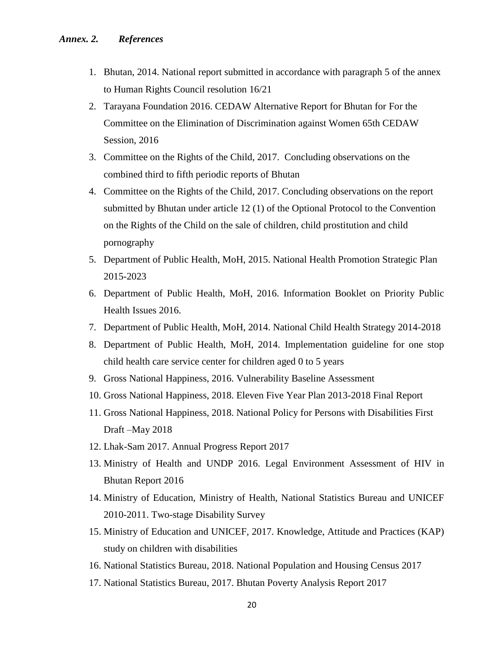- <span id="page-19-0"></span>1. Bhutan, 2014. National report submitted in accordance with paragraph 5 of the annex to Human Rights Council resolution 16/21
- 2. Tarayana Foundation 2016. CEDAW Alternative Report for Bhutan for For the Committee on the Elimination of Discrimination against Women 65th CEDAW Session, 2016
- 3. Committee on the Rights of the Child, 2017. Concluding observations on the combined third to fifth periodic reports of Bhutan
- 4. Committee on the Rights of the Child, 2017. Concluding observations on the report submitted by Bhutan under article 12 (1) of the Optional Protocol to the Convention on the Rights of the Child on the sale of children, child prostitution and child pornography
- 5. Department of Public Health, MoH, 2015. National Health Promotion Strategic Plan 2015-2023
- 6. Department of Public Health, MoH, 2016. Information Booklet on Priority Public Health Issues 2016.
- 7. Department of Public Health, MoH, 2014. National Child Health Strategy 2014-2018
- 8. Department of Public Health, MoH, 2014. Implementation guideline for one stop child health care service center for children aged 0 to 5 years
- 9. Gross National Happiness, 2016. Vulnerability Baseline Assessment
- 10. Gross National Happiness, 2018. Eleven Five Year Plan 2013-2018 Final Report
- 11. Gross National Happiness, 2018. National Policy for Persons with Disabilities First Draft –May 2018
- 12. Lhak-Sam 2017. Annual Progress Report 2017
- 13. Ministry of Health and UNDP 2016. Legal Environment Assessment of HIV in Bhutan Report 2016
- 14. Ministry of Education, Ministry of Health, National Statistics Bureau and UNICEF 2010-2011. Two-stage Disability Survey
- 15. Ministry of Education and UNICEF, 2017. Knowledge, Attitude and Practices (KAP) study on children with disabilities
- 16. National Statistics Bureau, 2018. National Population and Housing Census 2017
- 17. National Statistics Bureau, 2017. Bhutan Poverty Analysis Report 2017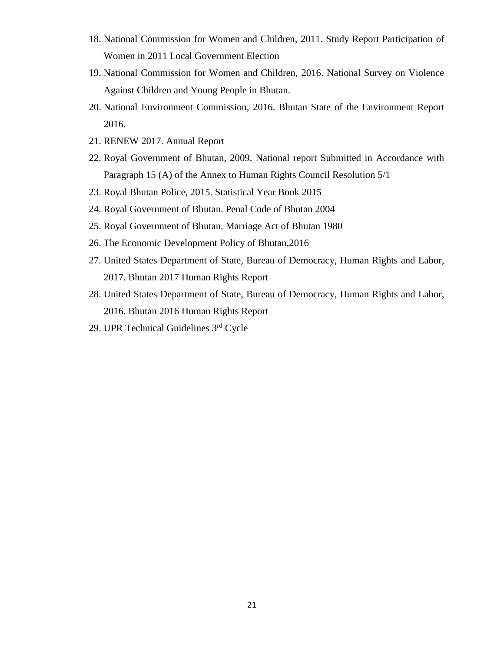- 18. National Commission for Women and Children, 2011. Study Report Participation of Women in 2011 Local Government Election
- 19. National Commission for Women and Children, 2016. National Survey on Violence Against Children and Young People in Bhutan.
- 20. National Environment Commission, 2016. Bhutan State of the Environment Report 2016.
- 21. RENEW 2017. Annual Report
- 22. Royal Government of Bhutan, 2009. National report Submitted in Accordance with Paragraph 15 (A) of the Annex to Human Rights Council Resolution 5/1
- 23. Royal Bhutan Police, 2015. Statistical Year Book 2015
- 24. Royal Government of Bhutan. Penal Code of Bhutan 2004
- 25. Royal Government of Bhutan. Marriage Act of Bhutan 1980
- 26. The Economic Development Policy of Bhutan,2016
- 27. United States Department of State, Bureau of Democracy, Human Rights and Labor, 2017. Bhutan 2017 Human Rights Report
- 28. United States Department of State, Bureau of Democracy, Human Rights and Labor, 2016. Bhutan 2016 Human Rights Report
- 29. UPR Technical Guidelines 3rd Cycle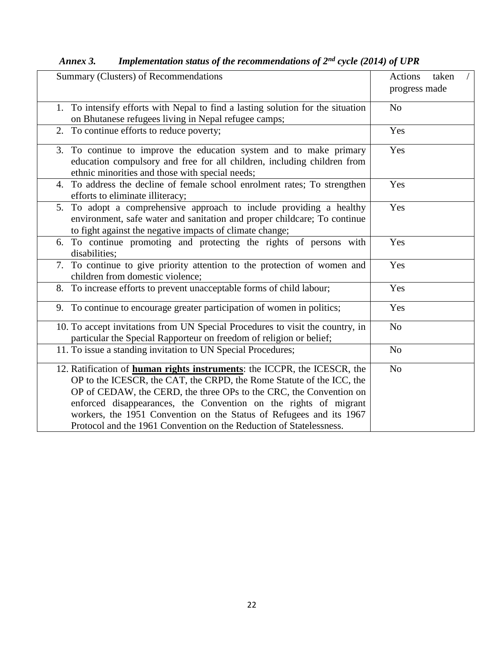| Summary (Clusters) of Recommendations                                                                                                                                                                                                                                                                                                                                                                                                             | Actions<br>taken<br>progress made |
|---------------------------------------------------------------------------------------------------------------------------------------------------------------------------------------------------------------------------------------------------------------------------------------------------------------------------------------------------------------------------------------------------------------------------------------------------|-----------------------------------|
| 1. To intensify efforts with Nepal to find a lasting solution for the situation<br>on Bhutanese refugees living in Nepal refugee camps;                                                                                                                                                                                                                                                                                                           | N <sub>o</sub>                    |
| 2. To continue efforts to reduce poverty;                                                                                                                                                                                                                                                                                                                                                                                                         | Yes                               |
| 3. To continue to improve the education system and to make primary<br>education compulsory and free for all children, including children from<br>ethnic minorities and those with special needs;                                                                                                                                                                                                                                                  | Yes                               |
| To address the decline of female school enrolment rates; To strengthen<br>4.<br>efforts to eliminate illiteracy;                                                                                                                                                                                                                                                                                                                                  | Yes                               |
| 5. To adopt a comprehensive approach to include providing a healthy<br>environment, safe water and sanitation and proper childcare; To continue<br>to fight against the negative impacts of climate change;                                                                                                                                                                                                                                       | Yes                               |
| 6. To continue promoting and protecting the rights of persons with<br>disabilities;                                                                                                                                                                                                                                                                                                                                                               | Yes                               |
| 7. To continue to give priority attention to the protection of women and<br>children from domestic violence;                                                                                                                                                                                                                                                                                                                                      | Yes                               |
| 8. To increase efforts to prevent unacceptable forms of child labour;                                                                                                                                                                                                                                                                                                                                                                             | Yes                               |
| 9. To continue to encourage greater participation of women in politics;                                                                                                                                                                                                                                                                                                                                                                           | Yes                               |
| 10. To accept invitations from UN Special Procedures to visit the country, in<br>particular the Special Rapporteur on freedom of religion or belief;                                                                                                                                                                                                                                                                                              | N <sub>o</sub>                    |
| 11. To issue a standing invitation to UN Special Procedures;                                                                                                                                                                                                                                                                                                                                                                                      | No                                |
| 12. Ratification of <b>human rights instruments</b> : the ICCPR, the ICESCR, the<br>OP to the ICESCR, the CAT, the CRPD, the Rome Statute of the ICC, the<br>OP of CEDAW, the CERD, the three OPs to the CRC, the Convention on<br>enforced disappearances, the Convention on the rights of migrant<br>workers, the 1951 Convention on the Status of Refugees and its 1967<br>Protocol and the 1961 Convention on the Reduction of Statelessness. | N <sub>o</sub>                    |

<span id="page-21-0"></span>*Annex 3. Implementation status of the recommendations of 2nd cycle (2014) of UPR*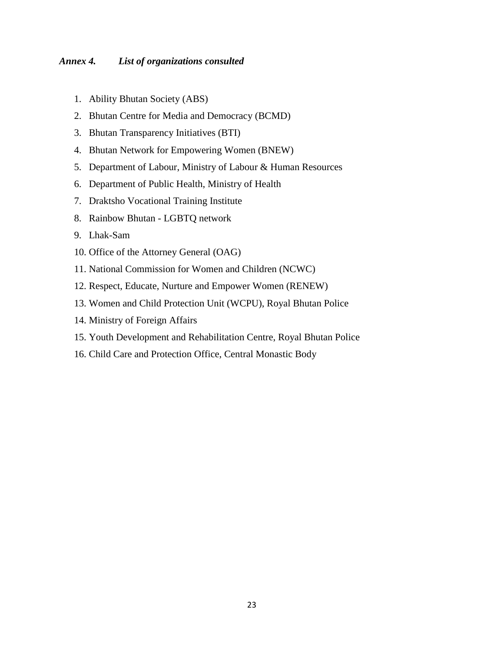#### <span id="page-22-0"></span>*Annex 4. List of organizations consulted*

- 1. Ability Bhutan Society (ABS)
- 2. Bhutan Centre for Media and Democracy (BCMD)
- 3. Bhutan Transparency Initiatives (BTI)
- 4. Bhutan Network for Empowering Women (BNEW)
- 5. Department of Labour, Ministry of Labour & Human Resources
- 6. Department of Public Health, Ministry of Health
- 7. Draktsho Vocational Training Institute
- 8. Rainbow Bhutan LGBTQ network
- 9. Lhak-Sam
- 10. Office of the Attorney General (OAG)
- 11. National Commission for Women and Children (NCWC)
- 12. Respect, Educate, Nurture and Empower Women (RENEW)
- 13. Women and Child Protection Unit (WCPU), Royal Bhutan Police
- 14. Ministry of Foreign Affairs
- 15. Youth Development and Rehabilitation Centre, Royal Bhutan Police
- 16. Child Care and Protection Office, Central Monastic Body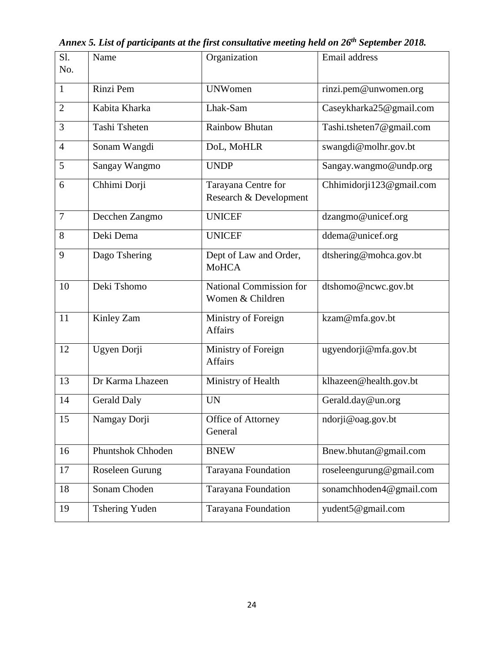| Sl.            |                       |                                               |                          |
|----------------|-----------------------|-----------------------------------------------|--------------------------|
| No.            | Name                  | Organization                                  | Email address            |
|                |                       |                                               |                          |
| $\mathbf{1}$   | Rinzi Pem             | <b>UNWomen</b>                                | rinzi.pem@unwomen.org    |
| $\overline{2}$ | Kabita Kharka         | Lhak-Sam                                      | Caseykharka25@gmail.com  |
| 3              | Tashi Tsheten         | <b>Rainbow Bhutan</b>                         | Tashi.tsheten7@gmail.com |
| $\overline{4}$ | Sonam Wangdi          | DoL, MoHLR                                    | swangdi@molhr.gov.bt     |
| 5              | Sangay Wangmo         | <b>UNDP</b>                                   | Sangay.wangmo@undp.org   |
| 6              | Chhimi Dorji          | Tarayana Centre for<br>Research & Development | Chhimidorji123@gmail.com |
| $\tau$         | Decchen Zangmo        | <b>UNICEF</b>                                 | dzangmo@unicef.org       |
| 8              | Deki Dema             | <b>UNICEF</b>                                 | ddema@unicef.org         |
| 9              | Dago Tshering         | Dept of Law and Order,<br><b>MoHCA</b>        | dtshering@mohca.gov.bt   |
| 10             | Deki Tshomo           | National Commission for<br>Women & Children   | dtshomo@ncwc.gov.bt      |
| 11             | Kinley Zam            | Ministry of Foreign<br><b>Affairs</b>         | kzam@mfa.gov.bt          |
| 12             | Ugyen Dorji           | Ministry of Foreign<br><b>Affairs</b>         | ugyendorji@mfa.gov.bt    |
| 13             | Dr Karma Lhazeen      | Ministry of Health                            | klhazeen@health.gov.bt   |
| 14             | <b>Gerald Daly</b>    | <b>UN</b>                                     | Gerald.day@un.org        |
| 15             | Namgay Dorji          | Office of Attorney<br>General                 | ndorji@oag.gov.bt        |
| 16             | Phuntshok Chhoden     | <b>BNEW</b>                                   | Bnew.bhutan@gmail.com    |
| 17             | Roseleen Gurung       | Tarayana Foundation                           | roseleengurung@gmail.com |
| 18             | Sonam Choden          | Tarayana Foundation                           | sonamchhoden4@gmail.com  |
| 19             | <b>Tshering Yuden</b> | Tarayana Foundation                           | yudent5@gmail.com        |

<span id="page-23-0"></span>*Annex 5. List of participants at the first consultative meeting held on 26th September 2018.*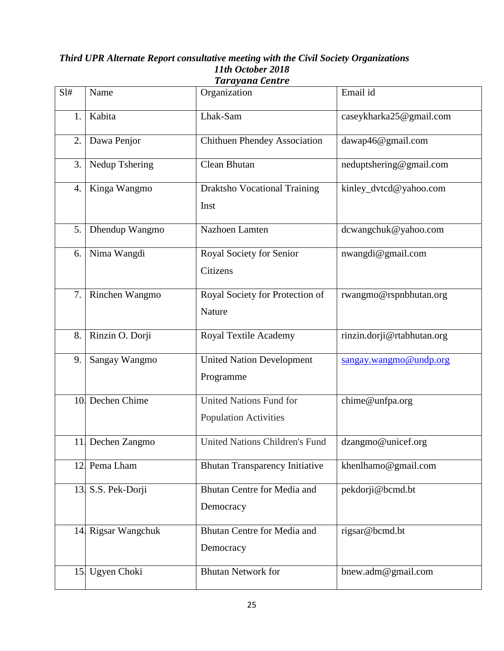#### *Third UPR Alternate Report consultative meeting with the Civil Society Organizations 11th October 2018 Tarayana Centre*

| SI# | Name               | Organization                                                   | Email id                   |
|-----|--------------------|----------------------------------------------------------------|----------------------------|
| 1.  | Kabita             | Lhak-Sam                                                       | caseykharka25@gmail.com    |
| 2.  | Dawa Penjor        | <b>Chithuen Phendey Association</b>                            | dawap46@gmail.com          |
| 3.  | Nedup Tshering     | Clean Bhutan                                                   | neduptshering@gmail.com    |
| 4.  | Kinga Wangmo       | <b>Draktsho Vocational Training</b><br>Inst                    | kinley_dvtcd@yahoo.com     |
| 5.  | Dhendup Wangmo     | Nazhoen Lamten                                                 | dcwangchuk@yahoo.com       |
| 6.  | Nima Wangdi        | Royal Society for Senior<br>Citizens                           | nwangdi@gmail.com          |
| 7.  | Rinchen Wangmo     | Royal Society for Protection of<br>Nature                      | rwangmo@rspnbhutan.org     |
| 8.  | Rinzin O. Dorji    | Royal Textile Academy                                          | rinzin.dorji@rtabhutan.org |
| 9.  | Sangay Wangmo      | <b>United Nation Development</b><br>Programme                  | sangay.wangmo@undp.org     |
|     | 10 Dechen Chime    | <b>United Nations Fund for</b><br><b>Population Activities</b> | chime@unfpa.org            |
|     | 11 Dechen Zangmo   | <b>United Nations Children's Fund</b>                          | dzangmo@unicef.org         |
|     | 12 Pema Lham       | <b>Bhutan Transparency Initiative</b>                          | khenlhamo@gmail.com        |
| 13. | S.S. Pek-Dorji     | Bhutan Centre for Media and<br>Democracy                       | pekdorji@bcmd.bt           |
|     | 14 Rigsar Wangchuk | Bhutan Centre for Media and<br>Democracy                       | rigsar@bcmd.bt             |
| 15. | Ugyen Choki        | <b>Bhutan Network for</b>                                      | bnew.adm@gmail.com         |